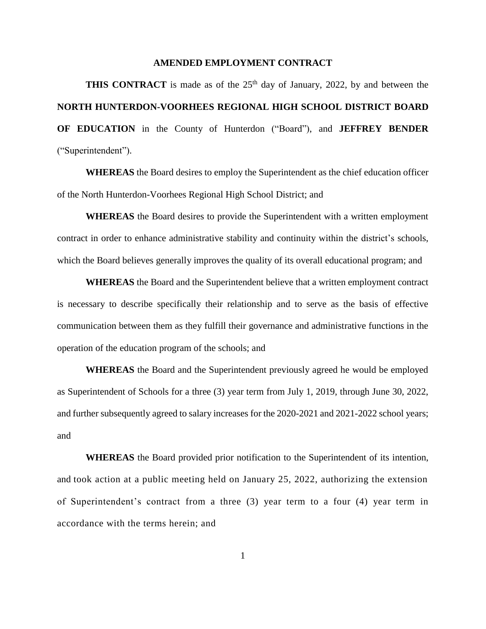#### **AMENDED EMPLOYMENT CONTRACT**

**THIS CONTRACT** is made as of the  $25<sup>th</sup>$  day of January, 2022, by and between the **NORTH HUNTERDON-VOORHEES REGIONAL HIGH SCHOOL DISTRICT BOARD OF EDUCATION** in the County of Hunterdon ("Board"), and **JEFFREY BENDER** ("Superintendent").

**WHEREAS** the Board desires to employ the Superintendent as the chief education officer of the North Hunterdon-Voorhees Regional High School District; and

**WHEREAS** the Board desires to provide the Superintendent with a written employment contract in order to enhance administrative stability and continuity within the district's schools, which the Board believes generally improves the quality of its overall educational program; and

**WHEREAS** the Board and the Superintendent believe that a written employment contract is necessary to describe specifically their relationship and to serve as the basis of effective communication between them as they fulfill their governance and administrative functions in the operation of the education program of the schools; and

**WHEREAS** the Board and the Superintendent previously agreed he would be employed as Superintendent of Schools for a three (3) year term from July 1, 2019, through June 30, 2022, and further subsequently agreed to salary increases for the 2020-2021 and 2021-2022 school years; and

**WHEREAS** the Board provided prior notification to the Superintendent of its intention, and took action at a public meeting held on January 25, 2022, authorizing the extension of Superintendent's contract from a three (3) year term to a four (4) year term in accordance with the terms herein; and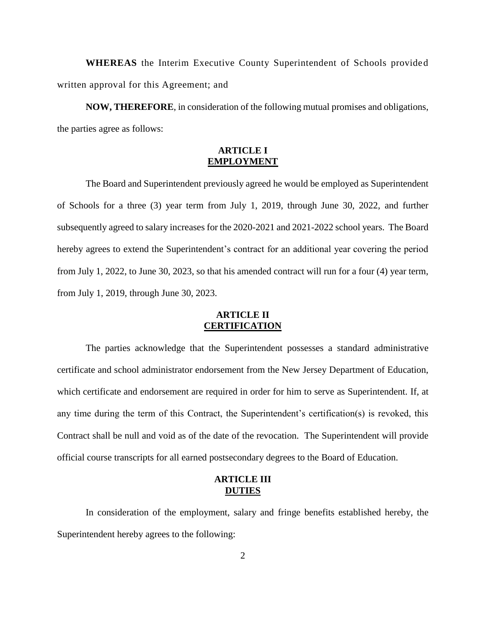**WHEREAS** the Interim Executive County Superintendent of Schools provided written approval for this Agreement; and

**NOW, THEREFORE**, in consideration of the following mutual promises and obligations, the parties agree as follows:

# **ARTICLE I EMPLOYMENT**

The Board and Superintendent previously agreed he would be employed as Superintendent of Schools for a three (3) year term from July 1, 2019, through June 30, 2022, and further subsequently agreed to salary increases for the 2020-2021 and 2021-2022 school years. The Board hereby agrees to extend the Superintendent's contract for an additional year covering the period from July 1, 2022, to June 30, 2023, so that his amended contract will run for a four (4) year term, from July 1, 2019, through June 30, 2023.

## **ARTICLE II CERTIFICATION**

The parties acknowledge that the Superintendent possesses a standard administrative certificate and school administrator endorsement from the New Jersey Department of Education, which certificate and endorsement are required in order for him to serve as Superintendent. If, at any time during the term of this Contract, the Superintendent's certification(s) is revoked, this Contract shall be null and void as of the date of the revocation. The Superintendent will provide official course transcripts for all earned postsecondary degrees to the Board of Education.

## **ARTICLE III DUTIES**

In consideration of the employment, salary and fringe benefits established hereby, the Superintendent hereby agrees to the following: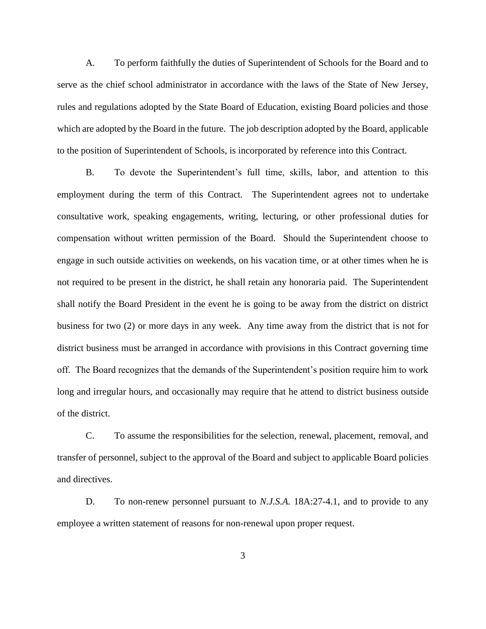A. To perform faithfully the duties of Superintendent of Schools for the Board and to serve as the chief school administrator in accordance with the laws of the State of New Jersey, rules and regulations adopted by the State Board of Education, existing Board policies and those which are adopted by the Board in the future. The job description adopted by the Board, applicable to the position of Superintendent of Schools, is incorporated by reference into this Contract.

B. To devote the Superintendent's full time, skills, labor, and attention to this employment during the term of this Contract. The Superintendent agrees not to undertake consultative work, speaking engagements, writing, lecturing, or other professional duties for compensation without written permission of the Board. Should the Superintendent choose to engage in such outside activities on weekends, on his vacation time, or at other times when he is not required to be present in the district, he shall retain any honoraria paid. The Superintendent shall notify the Board President in the event he is going to be away from the district on district business for two (2) or more days in any week. Any time away from the district that is not for district business must be arranged in accordance with provisions in this Contract governing time off. The Board recognizes that the demands of the Superintendent's position require him to work long and irregular hours, and occasionally may require that he attend to district business outside of the district.

C. To assume the responsibilities for the selection, renewal, placement, removal, and transfer of personnel, subject to the approval of the Board and subject to applicable Board policies and directives.

D. To non-renew personnel pursuant to *N.J.S.A.* 18A:27-4.1, and to provide to any employee a written statement of reasons for non-renewal upon proper request.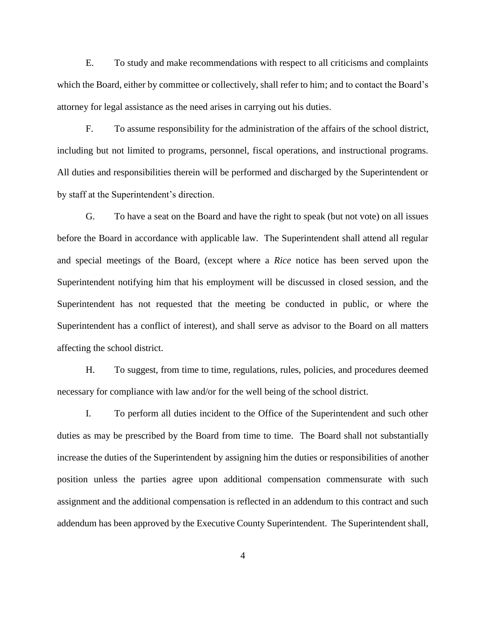E. To study and make recommendations with respect to all criticisms and complaints which the Board, either by committee or collectively, shall refer to him; and to contact the Board's attorney for legal assistance as the need arises in carrying out his duties.

F. To assume responsibility for the administration of the affairs of the school district, including but not limited to programs, personnel, fiscal operations, and instructional programs. All duties and responsibilities therein will be performed and discharged by the Superintendent or by staff at the Superintendent's direction.

G. To have a seat on the Board and have the right to speak (but not vote) on all issues before the Board in accordance with applicable law. The Superintendent shall attend all regular and special meetings of the Board, (except where a *Rice* notice has been served upon the Superintendent notifying him that his employment will be discussed in closed session, and the Superintendent has not requested that the meeting be conducted in public, or where the Superintendent has a conflict of interest), and shall serve as advisor to the Board on all matters affecting the school district.

H. To suggest, from time to time, regulations, rules, policies, and procedures deemed necessary for compliance with law and/or for the well being of the school district.

I. To perform all duties incident to the Office of the Superintendent and such other duties as may be prescribed by the Board from time to time. The Board shall not substantially increase the duties of the Superintendent by assigning him the duties or responsibilities of another position unless the parties agree upon additional compensation commensurate with such assignment and the additional compensation is reflected in an addendum to this contract and such addendum has been approved by the Executive County Superintendent. The Superintendent shall,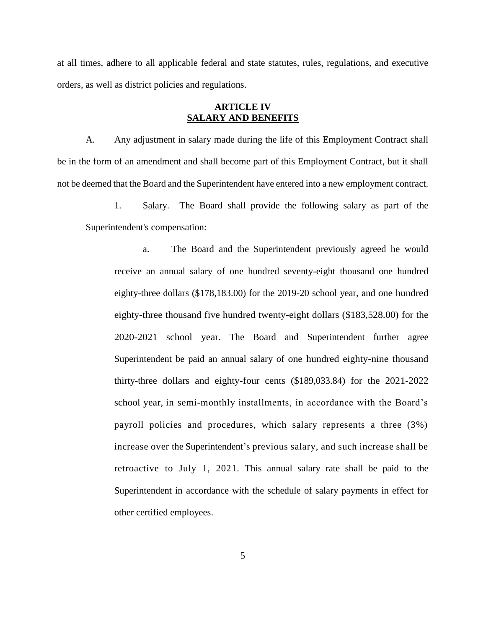at all times, adhere to all applicable federal and state statutes, rules, regulations, and executive orders, as well as district policies and regulations.

### **ARTICLE IV SALARY AND BENEFITS**

A. Any adjustment in salary made during the life of this Employment Contract shall be in the form of an amendment and shall become part of this Employment Contract, but it shall not be deemed that the Board and the Superintendent have entered into a new employment contract.

1. Salary. The Board shall provide the following salary as part of the Superintendent's compensation:

a. The Board and the Superintendent previously agreed he would receive an annual salary of one hundred seventy-eight thousand one hundred eighty-three dollars (\$178,183.00) for the 2019-20 school year, and one hundred eighty-three thousand five hundred twenty-eight dollars (\$183,528.00) for the 2020-2021 school year. The Board and Superintendent further agree Superintendent be paid an annual salary of one hundred eighty-nine thousand thirty-three dollars and eighty-four cents (\$189,033.84) for the 2021-2022 school year, in semi-monthly installments, in accordance with the Board's payroll policies and procedures, which salary represents a three (3%) increase over the Superintendent's previous salary, and such increase shall be retroactive to July 1, 2021. This annual salary rate shall be paid to the Superintendent in accordance with the schedule of salary payments in effect for other certified employees.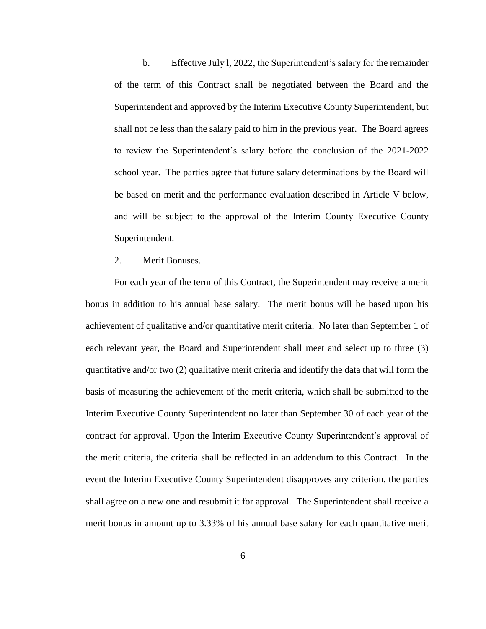b. Effective July l, 2022, the Superintendent's salary for the remainder of the term of this Contract shall be negotiated between the Board and the Superintendent and approved by the Interim Executive County Superintendent, but shall not be less than the salary paid to him in the previous year. The Board agrees to review the Superintendent's salary before the conclusion of the 2021-2022 school year. The parties agree that future salary determinations by the Board will be based on merit and the performance evaluation described in Article V below, and will be subject to the approval of the Interim County Executive County Superintendent.

#### 2. Merit Bonuses.

For each year of the term of this Contract, the Superintendent may receive a merit bonus in addition to his annual base salary. The merit bonus will be based upon his achievement of qualitative and/or quantitative merit criteria. No later than September 1 of each relevant year, the Board and Superintendent shall meet and select up to three (3) quantitative and/or two (2) qualitative merit criteria and identify the data that will form the basis of measuring the achievement of the merit criteria, which shall be submitted to the Interim Executive County Superintendent no later than September 30 of each year of the contract for approval. Upon the Interim Executive County Superintendent's approval of the merit criteria, the criteria shall be reflected in an addendum to this Contract. In the event the Interim Executive County Superintendent disapproves any criterion, the parties shall agree on a new one and resubmit it for approval. The Superintendent shall receive a merit bonus in amount up to 3.33% of his annual base salary for each quantitative merit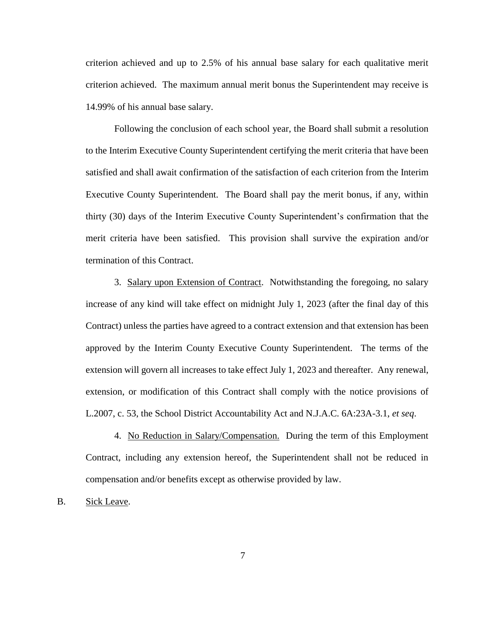criterion achieved and up to 2.5% of his annual base salary for each qualitative merit criterion achieved. The maximum annual merit bonus the Superintendent may receive is 14.99% of his annual base salary.

Following the conclusion of each school year, the Board shall submit a resolution to the Interim Executive County Superintendent certifying the merit criteria that have been satisfied and shall await confirmation of the satisfaction of each criterion from the Interim Executive County Superintendent. The Board shall pay the merit bonus, if any, within thirty (30) days of the Interim Executive County Superintendent's confirmation that the merit criteria have been satisfied. This provision shall survive the expiration and/or termination of this Contract.

3. Salary upon Extension of Contract. Notwithstanding the foregoing, no salary increase of any kind will take effect on midnight July 1, 2023 (after the final day of this Contract) unless the parties have agreed to a contract extension and that extension has been approved by the Interim County Executive County Superintendent. The terms of the extension will govern all increases to take effect July 1, 2023 and thereafter. Any renewal, extension, or modification of this Contract shall comply with the notice provisions of L.2007, c. 53, the School District Accountability Act and N.J.A.C. 6A:23A-3.1, *et seq*.

4. No Reduction in Salary/Compensation. During the term of this Employment Contract, including any extension hereof, the Superintendent shall not be reduced in compensation and/or benefits except as otherwise provided by law.

#### B. Sick Leave.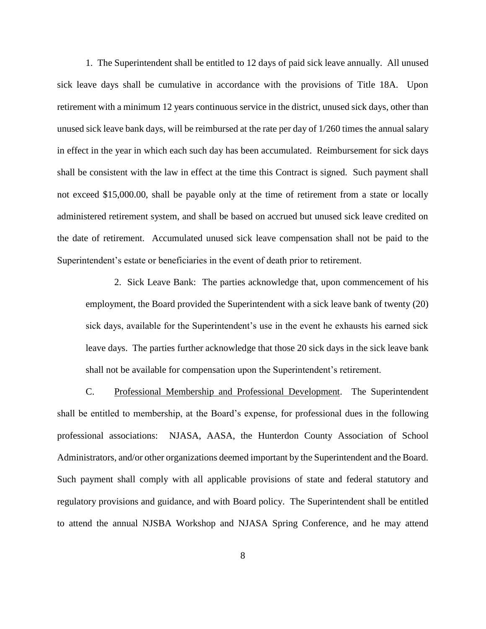1. The Superintendent shall be entitled to 12 days of paid sick leave annually. All unused sick leave days shall be cumulative in accordance with the provisions of Title 18A. Upon retirement with a minimum 12 years continuous service in the district, unused sick days, other than unused sick leave bank days, will be reimbursed at the rate per day of 1/260 times the annual salary in effect in the year in which each such day has been accumulated. Reimbursement for sick days shall be consistent with the law in effect at the time this Contract is signed. Such payment shall not exceed \$15,000.00, shall be payable only at the time of retirement from a state or locally administered retirement system, and shall be based on accrued but unused sick leave credited on the date of retirement. Accumulated unused sick leave compensation shall not be paid to the Superintendent's estate or beneficiaries in the event of death prior to retirement.

2. Sick Leave Bank: The parties acknowledge that, upon commencement of his employment, the Board provided the Superintendent with a sick leave bank of twenty (20) sick days, available for the Superintendent's use in the event he exhausts his earned sick leave days. The parties further acknowledge that those 20 sick days in the sick leave bank shall not be available for compensation upon the Superintendent's retirement.

C. Professional Membership and Professional Development. The Superintendent shall be entitled to membership, at the Board's expense, for professional dues in the following professional associations: NJASA, AASA, the Hunterdon County Association of School Administrators, and/or other organizations deemed important by the Superintendent and the Board. Such payment shall comply with all applicable provisions of state and federal statutory and regulatory provisions and guidance, and with Board policy. The Superintendent shall be entitled to attend the annual NJSBA Workshop and NJASA Spring Conference, and he may attend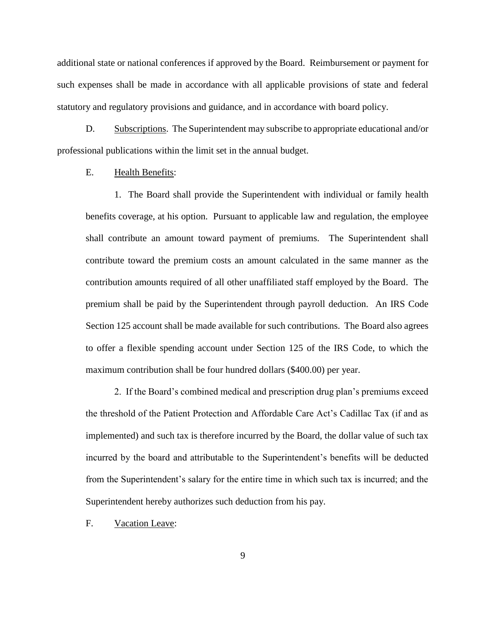additional state or national conferences if approved by the Board. Reimbursement or payment for such expenses shall be made in accordance with all applicable provisions of state and federal statutory and regulatory provisions and guidance, and in accordance with board policy.

D. Subscriptions. The Superintendent may subscribe to appropriate educational and/or professional publications within the limit set in the annual budget.

### E. Health Benefits:

1. The Board shall provide the Superintendent with individual or family health benefits coverage, at his option. Pursuant to applicable law and regulation, the employee shall contribute an amount toward payment of premiums. The Superintendent shall contribute toward the premium costs an amount calculated in the same manner as the contribution amounts required of all other unaffiliated staff employed by the Board. The premium shall be paid by the Superintendent through payroll deduction. An IRS Code Section 125 account shall be made available for such contributions. The Board also agrees to offer a flexible spending account under Section 125 of the IRS Code, to which the maximum contribution shall be four hundred dollars (\$400.00) per year.

2. If the Board's combined medical and prescription drug plan's premiums exceed the threshold of the Patient Protection and Affordable Care Act's Cadillac Tax (if and as implemented) and such tax is therefore incurred by the Board, the dollar value of such tax incurred by the board and attributable to the Superintendent's benefits will be deducted from the Superintendent's salary for the entire time in which such tax is incurred; and the Superintendent hereby authorizes such deduction from his pay.

#### F. Vacation Leave: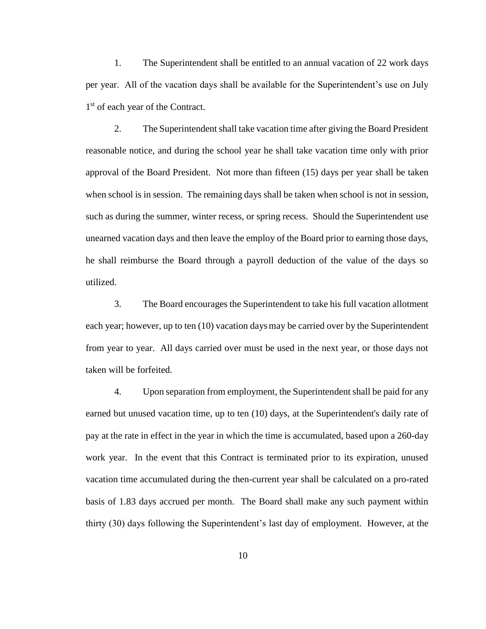1. The Superintendent shall be entitled to an annual vacation of 22 work days per year. All of the vacation days shall be available for the Superintendent's use on July 1<sup>st</sup> of each year of the Contract.

2. The Superintendent shall take vacation time after giving the Board President reasonable notice, and during the school year he shall take vacation time only with prior approval of the Board President. Not more than fifteen (15) days per year shall be taken when school is in session. The remaining days shall be taken when school is not in session, such as during the summer, winter recess, or spring recess. Should the Superintendent use unearned vacation days and then leave the employ of the Board prior to earning those days, he shall reimburse the Board through a payroll deduction of the value of the days so utilized.

3. The Board encourages the Superintendent to take his full vacation allotment each year; however, up to ten (10) vacation daysmay be carried over by the Superintendent from year to year. All days carried over must be used in the next year, or those days not taken will be forfeited.

4. Upon separation from employment, the Superintendent shall be paid for any earned but unused vacation time, up to ten (10) days, at the Superintendent's daily rate of pay at the rate in effect in the year in which the time is accumulated, based upon a 260-day work year. In the event that this Contract is terminated prior to its expiration, unused vacation time accumulated during the then-current year shall be calculated on a pro-rated basis of 1.83 days accrued per month. The Board shall make any such payment within thirty (30) days following the Superintendent's last day of employment. However, at the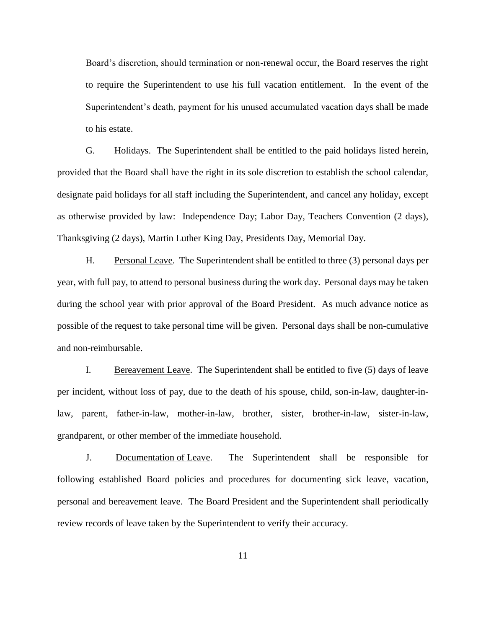Board's discretion, should termination or non-renewal occur, the Board reserves the right to require the Superintendent to use his full vacation entitlement. In the event of the Superintendent's death, payment for his unused accumulated vacation days shall be made to his estate.

G. Holidays. The Superintendent shall be entitled to the paid holidays listed herein, provided that the Board shall have the right in its sole discretion to establish the school calendar, designate paid holidays for all staff including the Superintendent, and cancel any holiday, except as otherwise provided by law: Independence Day; Labor Day, Teachers Convention (2 days), Thanksgiving (2 days), Martin Luther King Day, Presidents Day, Memorial Day.

H. Personal Leave. The Superintendent shall be entitled to three (3) personal days per year, with full pay, to attend to personal business during the work day. Personal days may be taken during the school year with prior approval of the Board President. As much advance notice as possible of the request to take personal time will be given. Personal days shall be non-cumulative and non-reimbursable.

I. Bereavement Leave. The Superintendent shall be entitled to five (5) days of leave per incident, without loss of pay, due to the death of his spouse, child, son-in-law, daughter-inlaw, parent, father-in-law, mother-in-law, brother, sister, brother-in-law, sister-in-law, grandparent, or other member of the immediate household.

J. Documentation of Leave. The Superintendent shall be responsible for following established Board policies and procedures for documenting sick leave, vacation, personal and bereavement leave. The Board President and the Superintendent shall periodically review records of leave taken by the Superintendent to verify their accuracy.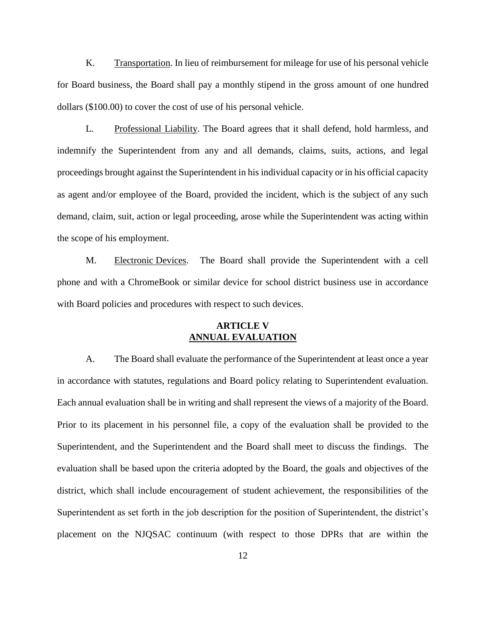K. Transportation. In lieu of reimbursement for mileage for use of his personal vehicle for Board business, the Board shall pay a monthly stipend in the gross amount of one hundred dollars (\$100.00) to cover the cost of use of his personal vehicle.

L. Professional Liability. The Board agrees that it shall defend, hold harmless, and indemnify the Superintendent from any and all demands, claims, suits, actions, and legal proceedings brought against the Superintendent in his individual capacity or in his official capacity as agent and/or employee of the Board, provided the incident, which is the subject of any such demand, claim, suit, action or legal proceeding, arose while the Superintendent was acting within the scope of his employment.

M. Electronic Devices. The Board shall provide the Superintendent with a cell phone and with a ChromeBook or similar device for school district business use in accordance with Board policies and procedures with respect to such devices.

## **ARTICLE V ANNUAL EVALUATION**

A. The Board shall evaluate the performance of the Superintendent at least once a year in accordance with statutes, regulations and Board policy relating to Superintendent evaluation. Each annual evaluation shall be in writing and shall represent the views of a majority of the Board. Prior to its placement in his personnel file, a copy of the evaluation shall be provided to the Superintendent, and the Superintendent and the Board shall meet to discuss the findings. The evaluation shall be based upon the criteria adopted by the Board, the goals and objectives of the district, which shall include encouragement of student achievement, the responsibilities of the Superintendent as set forth in the job description for the position of Superintendent, the district's placement on the NJQSAC continuum (with respect to those DPRs that are within the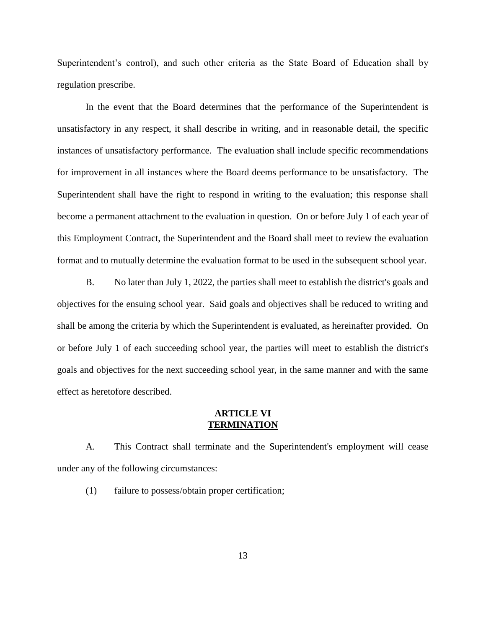Superintendent's control), and such other criteria as the State Board of Education shall by regulation prescribe.

In the event that the Board determines that the performance of the Superintendent is unsatisfactory in any respect, it shall describe in writing, and in reasonable detail, the specific instances of unsatisfactory performance. The evaluation shall include specific recommendations for improvement in all instances where the Board deems performance to be unsatisfactory. The Superintendent shall have the right to respond in writing to the evaluation; this response shall become a permanent attachment to the evaluation in question. On or before July 1 of each year of this Employment Contract, the Superintendent and the Board shall meet to review the evaluation format and to mutually determine the evaluation format to be used in the subsequent school year.

B. No later than July 1, 2022, the parties shall meet to establish the district's goals and objectives for the ensuing school year. Said goals and objectives shall be reduced to writing and shall be among the criteria by which the Superintendent is evaluated, as hereinafter provided. On or before July 1 of each succeeding school year, the parties will meet to establish the district's goals and objectives for the next succeeding school year, in the same manner and with the same effect as heretofore described.

#### **ARTICLE VI TERMINATION**

A. This Contract shall terminate and the Superintendent's employment will cease under any of the following circumstances:

(1) failure to possess/obtain proper certification;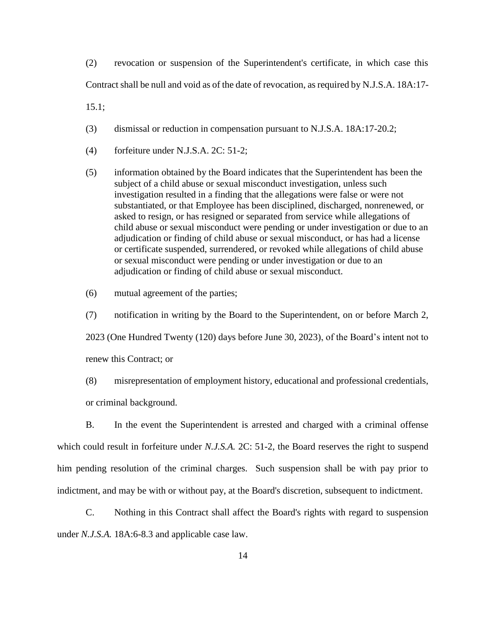(2) revocation or suspension of the Superintendent's certificate, in which case this Contract shall be null and void as of the date of revocation, as required by N.J.S.A. 18A:17-

15.1;

- (3) dismissal or reduction in compensation pursuant to N.J.S.A. 18A:17-20.2;
- (4) forfeiture under N.J.S.A. 2C: 51-2;
- (5) information obtained by the Board indicates that the Superintendent has been the subject of a child abuse or sexual misconduct investigation, unless such investigation resulted in a finding that the allegations were false or were not substantiated, or that Employee has been disciplined, discharged, nonrenewed, or asked to resign, or has resigned or separated from service while allegations of child abuse or sexual misconduct were pending or under investigation or due to an adjudication or finding of child abuse or sexual misconduct, or has had a license or certificate suspended, surrendered, or revoked while allegations of child abuse or sexual misconduct were pending or under investigation or due to an adjudication or finding of child abuse or sexual misconduct.
- (6) mutual agreement of the parties;

(7) notification in writing by the Board to the Superintendent, on or before March 2,

2023 (One Hundred Twenty (120) days before June 30, 2023), of the Board's intent not to

renew this Contract; or

(8) misrepresentation of employment history, educational and professional credentials, or criminal background.

B. In the event the Superintendent is arrested and charged with a criminal offense which could result in forfeiture under *N.J.S.A.* 2C: 51-2, the Board reserves the right to suspend him pending resolution of the criminal charges. Such suspension shall be with pay prior to indictment, and may be with or without pay, at the Board's discretion, subsequent to indictment.

C. Nothing in this Contract shall affect the Board's rights with regard to suspension under *N.J.S.A.* 18A:6-8.3 and applicable case law.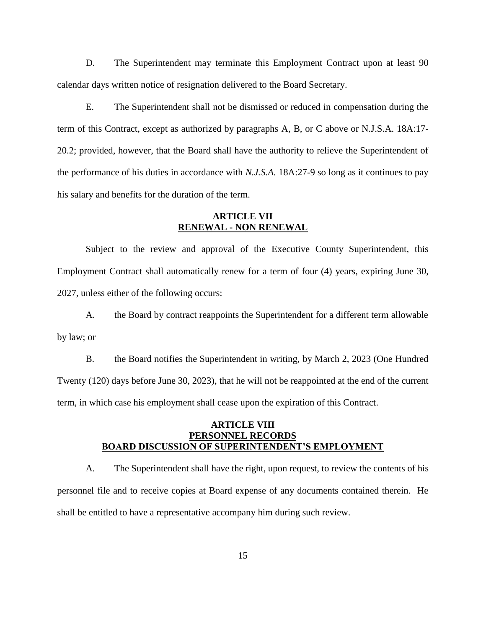D. The Superintendent may terminate this Employment Contract upon at least 90 calendar days written notice of resignation delivered to the Board Secretary.

E. The Superintendent shall not be dismissed or reduced in compensation during the term of this Contract, except as authorized by paragraphs A, B, or C above or N.J.S.A. 18A:17- 20.2; provided, however, that the Board shall have the authority to relieve the Superintendent of the performance of his duties in accordance with *N.J.S.A.* 18A:27-9 so long as it continues to pay his salary and benefits for the duration of the term.

### **ARTICLE VII RENEWAL - NON RENEWAL**

Subject to the review and approval of the Executive County Superintendent, this Employment Contract shall automatically renew for a term of four (4) years, expiring June 30, 2027, unless either of the following occurs:

A. the Board by contract reappoints the Superintendent for a different term allowable by law; or

B. the Board notifies the Superintendent in writing, by March 2, 2023 (One Hundred Twenty (120) days before June 30, 2023), that he will not be reappointed at the end of the current term, in which case his employment shall cease upon the expiration of this Contract.

## **ARTICLE VIII PERSONNEL RECORDS BOARD DISCUSSION OF SUPERINTENDENT'S EMPLOYMENT**

A. The Superintendent shall have the right, upon request, to review the contents of his personnel file and to receive copies at Board expense of any documents contained therein. He shall be entitled to have a representative accompany him during such review.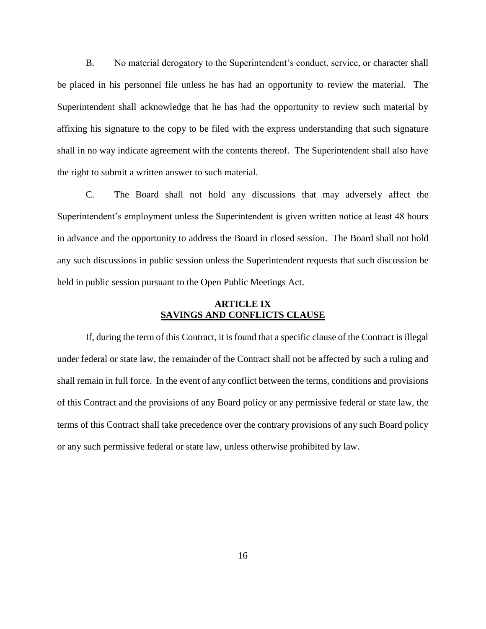B. No material derogatory to the Superintendent's conduct, service, or character shall be placed in his personnel file unless he has had an opportunity to review the material. The Superintendent shall acknowledge that he has had the opportunity to review such material by affixing his signature to the copy to be filed with the express understanding that such signature shall in no way indicate agreement with the contents thereof. The Superintendent shall also have the right to submit a written answer to such material.

C. The Board shall not hold any discussions that may adversely affect the Superintendent's employment unless the Superintendent is given written notice at least 48 hours in advance and the opportunity to address the Board in closed session. The Board shall not hold any such discussions in public session unless the Superintendent requests that such discussion be held in public session pursuant to the Open Public Meetings Act.

### **ARTICLE IX SAVINGS AND CONFLICTS CLAUSE**

If, during the term of this Contract, it is found that a specific clause of the Contract is illegal under federal or state law, the remainder of the Contract shall not be affected by such a ruling and shall remain in full force. In the event of any conflict between the terms, conditions and provisions of this Contract and the provisions of any Board policy or any permissive federal or state law, the terms of this Contract shall take precedence over the contrary provisions of any such Board policy or any such permissive federal or state law, unless otherwise prohibited by law.